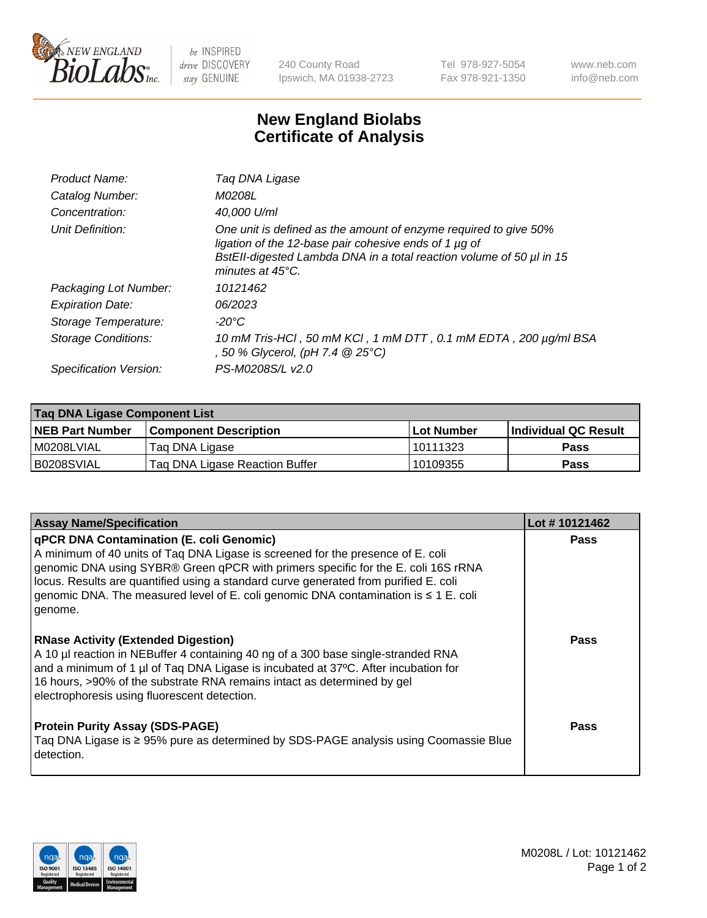

 $be$  INSPIRED drive DISCOVERY stay GENUINE

240 County Road Ipswich, MA 01938-2723 Tel 978-927-5054 Fax 978-921-1350 www.neb.com info@neb.com

## **New England Biolabs Certificate of Analysis**

| Product Name:              | Tag DNA Ligase                                                                                                                                                                                                                  |
|----------------------------|---------------------------------------------------------------------------------------------------------------------------------------------------------------------------------------------------------------------------------|
| Catalog Number:            | M0208L                                                                                                                                                                                                                          |
| Concentration:             | 40.000 U/ml                                                                                                                                                                                                                     |
| Unit Definition:           | One unit is defined as the amount of enzyme required to give 50%<br>ligation of the 12-base pair cohesive ends of 1 µg of<br>BstEll-digested Lambda DNA in a total reaction volume of 50 µl in 15<br>minutes at $45^{\circ}$ C. |
| Packaging Lot Number:      | 10121462                                                                                                                                                                                                                        |
| <b>Expiration Date:</b>    | 06/2023                                                                                                                                                                                                                         |
| Storage Temperature:       | $-20^{\circ}$ C                                                                                                                                                                                                                 |
| <b>Storage Conditions:</b> | 10 mM Tris-HCl, 50 mM KCl, 1 mM DTT, 0.1 mM EDTA, 200 µg/ml BSA<br>, 50 % Glycerol, (pH 7.4 $@25°C$ )                                                                                                                           |
| Specification Version:     | PS-M0208S/L v2.0                                                                                                                                                                                                                |

| Taq DNA Ligase Component List |                                |                   |                      |  |
|-------------------------------|--------------------------------|-------------------|----------------------|--|
| <b>NEB Part Number</b>        | <b>Component Description</b>   | <b>Lot Number</b> | Individual QC Result |  |
| I M0208LVIAL                  | Tag DNA Ligase                 | 10111323          | <b>Pass</b>          |  |
| B0208SVIAL                    | Taq DNA Ligase Reaction Buffer | 10109355          | Pass                 |  |

| <b>Assay Name/Specification</b>                                                                                                                                                                                                                                                                                                                                                                            | Lot #10121462 |
|------------------------------------------------------------------------------------------------------------------------------------------------------------------------------------------------------------------------------------------------------------------------------------------------------------------------------------------------------------------------------------------------------------|---------------|
| qPCR DNA Contamination (E. coli Genomic)<br>A minimum of 40 units of Taq DNA Ligase is screened for the presence of E. coli<br>genomic DNA using SYBR® Green qPCR with primers specific for the E. coli 16S rRNA<br>locus. Results are quantified using a standard curve generated from purified E. coli<br>genomic DNA. The measured level of E. coli genomic DNA contamination is ≤ 1 E. coli<br>genome. | <b>Pass</b>   |
| <b>RNase Activity (Extended Digestion)</b><br>A 10 µl reaction in NEBuffer 4 containing 40 ng of a 300 base single-stranded RNA<br>and a minimum of 1 µl of Taq DNA Ligase is incubated at 37°C. After incubation for<br>16 hours, >90% of the substrate RNA remains intact as determined by gel<br>electrophoresis using fluorescent detection.                                                           | Pass          |
| <b>Protein Purity Assay (SDS-PAGE)</b><br>Taq DNA Ligase is ≥ 95% pure as determined by SDS-PAGE analysis using Coomassie Blue<br>detection.                                                                                                                                                                                                                                                               | Pass          |